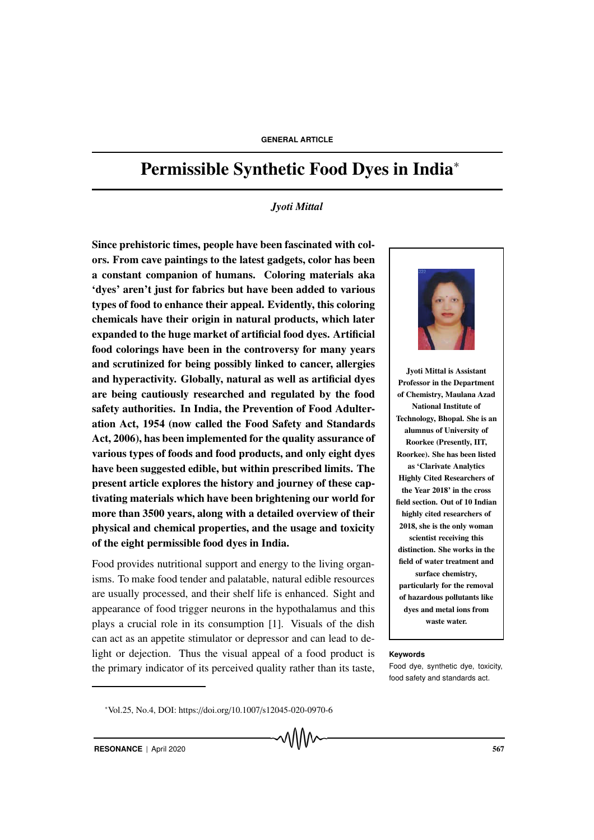# Permissible Synthetic Food Dyes in India<sup>∗</sup>

### *Jyoti Mittal*

Since prehistoric times, people have been fascinated with colors. From cave paintings to the latest gadgets, color has been a constant companion of humans. Coloring materials aka 'dyes' aren't just for fabrics but have been added to various types of food to enhance their appeal. Evidently, this coloring chemicals have their origin in natural products, which later expanded to the huge market of artificial food dyes. Artificial food colorings have been in the controversy for many years and scrutinized for being possibly linked to cancer, allergies and hyperactivity. Globally, natural as well as artificial dyes are being cautiously researched and regulated by the food safety authorities. In India, the Prevention of Food Adulteration Act, 1954 (now called the Food Safety and Standards Act, 2006), has been implemented for the quality assurance of various types of foods and food products, and only eight dyes have been suggested edible, but within prescribed limits. The present article explores the history and journey of these captivating materials which have been brightening our world for more than 3500 years, along with a detailed overview of their physical and chemical properties, and the usage and toxicity of the eight permissible food dyes in India.

Food provides nutritional support and energy to the living organisms. To make food tender and palatable, natural edible resources are usually processed, and their shelf life is enhanced. Sight and appearance of food trigger neurons in the hypothalamus and this plays a crucial role in its consumption [1]. Visuals of the dish can act as an appetite stimulator or depressor and can lead to delight or dejection. Thus the visual appeal of a food product is **Keywords** the primary indicator of its perceived quality rather than its taste,



Jyoti Mittal is Assistant Professor in the Department of Chemistry, Maulana Azad National Institute of Technology, Bhopal. She is an alumnus of University of Roorkee (Presently, IIT, Roorkee). She has been listed as 'Clarivate Analytics Highly Cited Researchers of the Year 2018' in the cross field section. Out of 10 Indian highly cited researchers of 2018, she is the only woman scientist receiving this distinction. She works in the field of water treatment and surface chemistry, particularly for the removal of hazardous pollutants like dyes and metal ions from waste water.

Food dye, synthetic dye, toxicity, food safety and standards act.

<sup>∗</sup>Vol.25, No.4, DOI: https://doi.org/10.1007/s12045-020-0970-6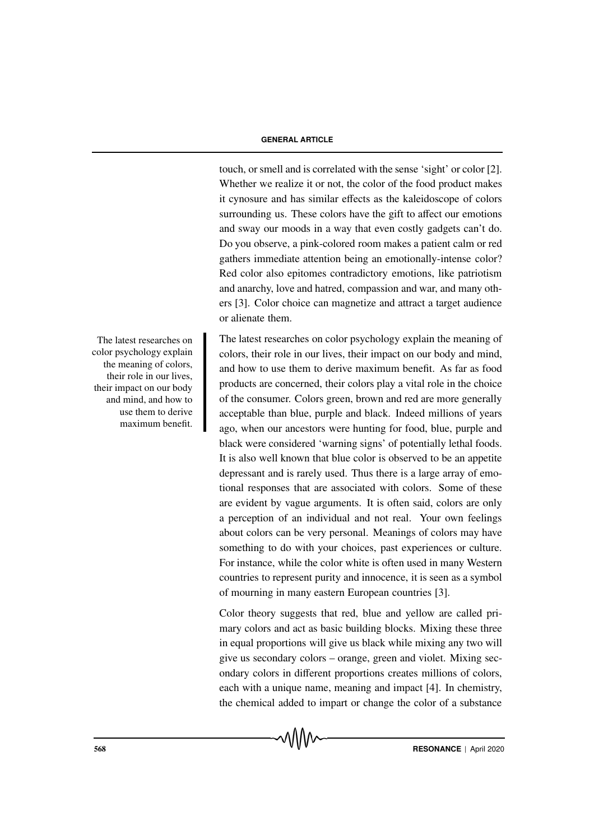touch, or smell and is correlated with the sense 'sight' or color [2]. Whether we realize it or not, the color of the food product makes it cynosure and has similar effects as the kaleidoscope of colors surrounding us. These colors have the gift to affect our emotions and sway our moods in a way that even costly gadgets can't do. Do you observe, a pink-colored room makes a patient calm or red gathers immediate attention being an emotionally-intense color? Red color also epitomes contradictory emotions, like patriotism and anarchy, love and hatred, compassion and war, and many others [3]. Color choice can magnetize and attract a target audience or alienate them.

The latest researches on color psychology explain the meaning of colors, their role in our lives, their impact on our body and mind, and how to use them to derive maximum benefit. As far as food products are concerned, their colors play a vital role in the choice of the consumer. Colors green, brown and red are more generally acceptable than blue, purple and black. Indeed millions of years ago, when our ancestors were hunting for food, blue, purple and black were considered 'warning signs' of potentially lethal foods. It is also well known that blue color is observed to be an appetite depressant and is rarely used. Thus there is a large array of emotional responses that are associated with colors. Some of these are evident by vague arguments. It is often said, colors are only a perception of an individual and not real. Your own feelings about colors can be very personal. Meanings of colors may have something to do with your choices, past experiences or culture. For instance, while the color white is often used in many Western countries to represent purity and innocence, it is seen as a symbol of mourning in many eastern European countries [3].

Color theory suggests that red, blue and yellow are called primary colors and act as basic building blocks. Mixing these three in equal proportions will give us black while mixing any two will give us secondary colors – orange, green and violet. Mixing secondary colors in different proportions creates millions of colors, each with a unique name, meaning and impact [4]. In chemistry, the chemical added to impart or change the color of a substance

The latest researches on color psychology explain the meaning of colors, their role in our lives, their impact on our body and mind, and how to use them to derive maximum benefit.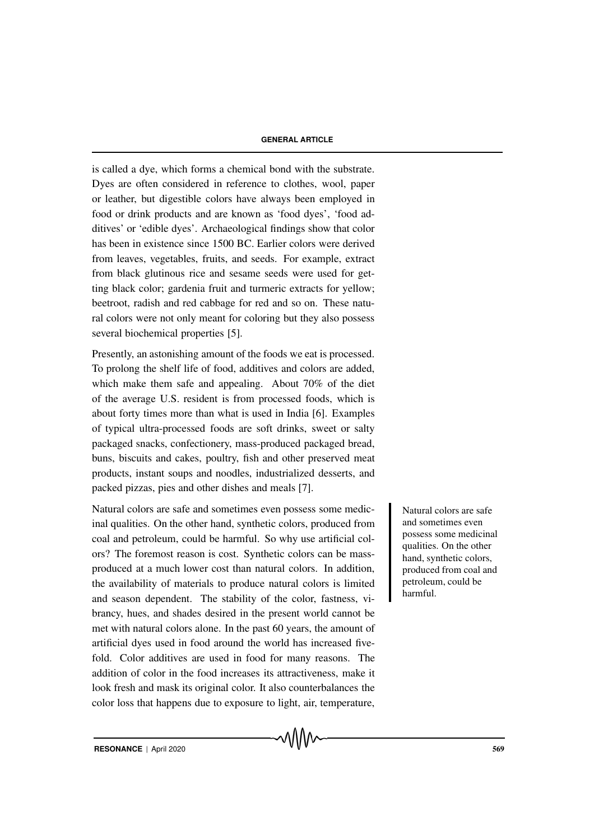is called a dye, which forms a chemical bond with the substrate. Dyes are often considered in reference to clothes, wool, paper or leather, but digestible colors have always been employed in food or drink products and are known as 'food dyes', 'food additives' or 'edible dyes'. Archaeological findings show that color has been in existence since 1500 BC. Earlier colors were derived from leaves, vegetables, fruits, and seeds. For example, extract from black glutinous rice and sesame seeds were used for getting black color; gardenia fruit and turmeric extracts for yellow; beetroot, radish and red cabbage for red and so on. These natural colors were not only meant for coloring but they also possess several biochemical properties [5].

Presently, an astonishing amount of the foods we eat is processed. To prolong the shelf life of food, additives and colors are added, which make them safe and appealing. About 70% of the diet of the average U.S. resident is from processed foods, which is about forty times more than what is used in India [6]. Examples of typical ultra-processed foods are soft drinks, sweet or salty packaged snacks, confectionery, mass-produced packaged bread, buns, biscuits and cakes, poultry, fish and other preserved meat products, instant soups and noodles, industrialized desserts, and packed pizzas, pies and other dishes and meals [7].

Natural colors are safe and sometimes even possess some medic-<br>Natural colors are safe inal qualities. On the other hand, synthetic colors, produced from coal and petroleum, could be harmful. So why use artificial colors? The foremost reason is cost. Synthetic colors can be massproduced at a much lower cost than natural colors. In addition, the availability of materials to produce natural colors is limited and season dependent. The stability of the color, fastness, vibrancy, hues, and shades desired in the present world cannot be met with natural colors alone. In the past 60 years, the amount of artificial dyes used in food around the world has increased fivefold. Color additives are used in food for many reasons. The addition of color in the food increases its attractiveness, make it look fresh and mask its original color. It also counterbalances the color loss that happens due to exposure to light, air, temperature,

and sometimes even possess some medicinal qualities. On the other hand, synthetic colors, produced from coal and petroleum, could be harmful.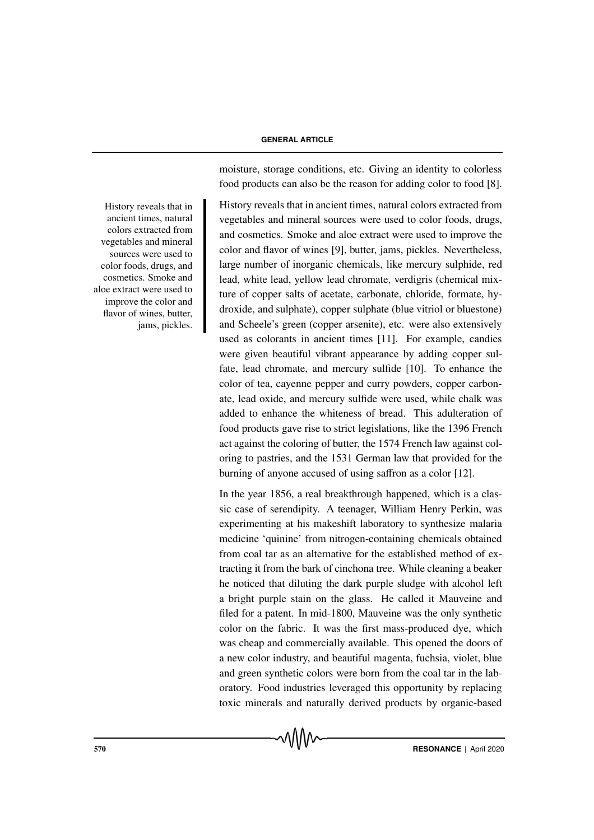moisture, storage conditions, etc. Giving an identity to colorless food products can also be the reason for adding color to food [8].

History reveals that in ancient times, natural colors extracted from vegetables and mineral sources were used to color foods, drugs, and cosmetics. Smoke and aloe extract were used to improve the color and flavor of wines [9], butter, jams, pickles. Nevertheless, large number of inorganic chemicals, like mercury sulphide, red lead, white lead, yellow lead chromate, verdigris (chemical mixture of copper salts of acetate, carbonate, chloride, formate, hydroxide, and sulphate), copper sulphate (blue vitriol or bluestone) and Scheele's green (copper arsenite), etc. were also extensively used as colorants in ancient times [11]. For example, candies were given beautiful vibrant appearance by adding copper sulfate, lead chromate, and mercury sulfide [10]. To enhance the color of tea, cayenne pepper and curry powders, copper carbonate, lead oxide, and mercury sulfide were used, while chalk was added to enhance the whiteness of bread. This adulteration of food products gave rise to strict legislations, like the 1396 French act against the coloring of butter, the 1574 French law against coloring to pastries, and the 1531 German law that provided for the burning of anyone accused of using saffron as a color [12].

In the year 1856, a real breakthrough happened, which is a classic case of serendipity. A teenager, William Henry Perkin, was experimenting at his makeshift laboratory to synthesize malaria medicine 'quinine' from nitrogen-containing chemicals obtained from coal tar as an alternative for the established method of extracting it from the bark of cinchona tree. While cleaning a beaker he noticed that diluting the dark purple sludge with alcohol left a bright purple stain on the glass. He called it Mauveine and filed for a patent. In mid-1800, Mauveine was the only synthetic color on the fabric. It was the first mass-produced dye, which was cheap and commercially available. This opened the doors of a new color industry, and beautiful magenta, fuchsia, violet, blue and green synthetic colors were born from the coal tar in the laboratory. Food industries leveraged this opportunity by replacing toxic minerals and naturally derived products by organic-based

History reveals that in ancient times, natural colors extracted from vegetables and mineral sources were used to color foods, drugs, and cosmetics. Smoke and aloe extract were used to improve the color and flavor of wines, butter, jams, pickles.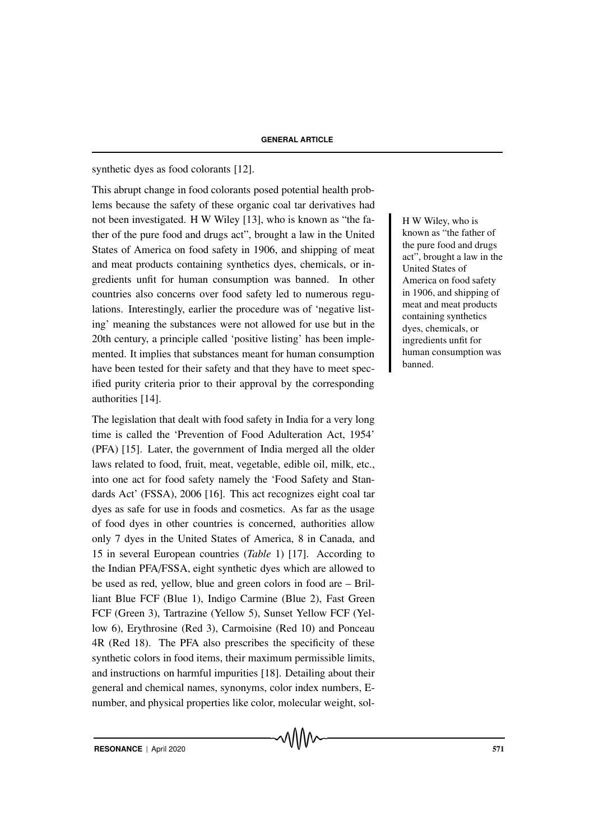# synthetic dyes as food colorants [12].

This abrupt change in food colorants posed potential health problems because the safety of these organic coal tar derivatives had not been investigated. H W Wiley [13], who is known as "the fa- H W Wiley, who is ther of the pure food and drugs act", brought a law in the United States of America on food safety in 1906, and shipping of meat and meat products containing synthetics dyes, chemicals, or ingredients unfit for human consumption was banned. In other countries also concerns over food safety led to numerous regulations. Interestingly, earlier the procedure was of 'negative listing' meaning the substances were not allowed for use but in the 20th century, a principle called 'positive listing' has been implemented. It implies that substances meant for human consumption have been tested for their safety and that they have to meet specified purity criteria prior to their approval by the corresponding authorities [14].

The legislation that dealt with food safety in India for a very long time is called the 'Prevention of Food Adulteration Act, 1954' (PFA) [15]. Later, the government of India merged all the older laws related to food, fruit, meat, vegetable, edible oil, milk, etc., into one act for food safety namely the 'Food Safety and Standards Act' (FSSA), 2006 [16]. This act recognizes eight coal tar dyes as safe for use in foods and cosmetics. As far as the usage of food dyes in other countries is concerned, authorities allow only 7 dyes in the United States of America, 8 in Canada, and 15 in several European countries (*Table* 1) [17]. According to the Indian PFA/FSSA, eight synthetic dyes which are allowed to be used as red, yellow, blue and green colors in food are – Brilliant Blue FCF (Blue 1), Indigo Carmine (Blue 2), Fast Green FCF (Green 3), Tartrazine (Yellow 5), Sunset Yellow FCF (Yellow 6), Erythrosine (Red 3), Carmoisine (Red 10) and Ponceau 4R (Red 18). The PFA also prescribes the specificity of these synthetic colors in food items, their maximum permissible limits, and instructions on harmful impurities [18]. Detailing about their general and chemical names, synonyms, color index numbers, Enumber, and physical properties like color, molecular weight, solknown as "the father of the pure food and drugs act", brought a law in the United States of America on food safety in 1906, and shipping of meat and meat products containing synthetics dyes, chemicals, or ingredients unfit for human consumption was banned.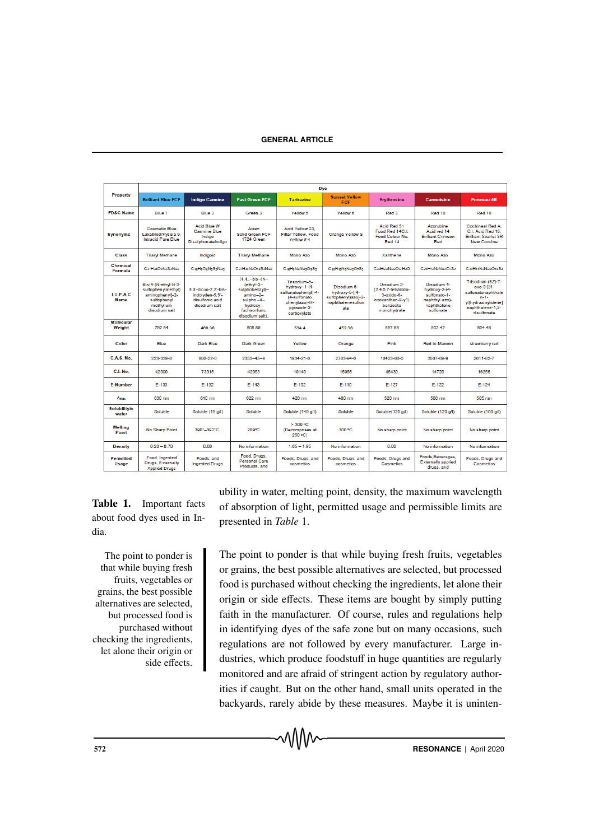| Property                          | <b>Dye</b>                                                                                                |                                                                                             |                                                                                                                                 |                                                                                                                     |                                                                                  |                                                                                                   |                                                                                            |                                                                                                                              |
|-----------------------------------|-----------------------------------------------------------------------------------------------------------|---------------------------------------------------------------------------------------------|---------------------------------------------------------------------------------------------------------------------------------|---------------------------------------------------------------------------------------------------------------------|----------------------------------------------------------------------------------|---------------------------------------------------------------------------------------------------|--------------------------------------------------------------------------------------------|------------------------------------------------------------------------------------------------------------------------------|
|                                   | <b>Brilliant Blue FCF</b>                                                                                 | <b>Indigo Carmine</b>                                                                       | <b>Fast Green FCF</b>                                                                                                           | <b>Tartrazine</b>                                                                                                   | <b>Sunset Yellow</b><br><b>FCF</b>                                               | <b>Ervthrosine</b>                                                                                | <b>Carmoisine</b>                                                                          | <b>Ponceau 4R</b>                                                                                                            |
| <b>FD&amp;C Name</b>              | Blue 1                                                                                                    | Blue 2                                                                                      | Green 3                                                                                                                         | Yellow 5                                                                                                            | Yellow 6                                                                         | Red 3                                                                                             | Red 10                                                                                     | Red 18                                                                                                                       |
| <b>Synonyms</b>                   | <b>Cosmetic Blue</b><br>LakeModrKysela 9,<br>Intracid Pure Blue                                           | Acid Blue W<br><b>Carmine Blue</b><br>Indigo<br>DisulphonateIndigo                          | Aizen<br><b>Solid Green FCF</b><br>1724 Green                                                                                   | Acid Yellow 23.<br>Filter Yellow, Food<br>Yellow #4                                                                 | <b>Orange Yellow S</b>                                                           | Acid Red 51<br>Food Red 14C L<br>Food Colour No.<br>Red 14                                        | Azorubine<br>Acid red 14<br><b>Brilliant Crimson</b><br>Red                                | <b>Cochineal Red A.</b><br>C.I. Acid Red 18.<br><b>Brilliant Scarlet 3R</b><br><b>New Coccine</b>                            |
| Class                             | <b>Triaryl Methane</b>                                                                                    | Indigoid                                                                                    | <b>Triaryl Methane</b>                                                                                                          | Mono Azo                                                                                                            | Mono Azo                                                                         | Xanthene                                                                                          | Mono Azo                                                                                   | Mono Azo                                                                                                                     |
| <b>Chemical</b><br><b>Formula</b> | C37H34O9N2S3Na2                                                                                           | C <sub>15</sub> H <sub>8</sub> O <sub>8</sub> N <sub>2</sub> S <sub>2</sub> Na <sub>2</sub> | C37H34N2O1nS3Na2                                                                                                                | C16HaNaNa3OaS2                                                                                                      | CasHanN>Na>OzS>                                                                  | ConHalaNa>Os H>O                                                                                  | ConHioNoNaoOzSo                                                                            | ConH++NoNa3O+nS3                                                                                                             |
| <b>LUPAC</b><br><b>Name</b>       | Bis{4-(N-ethyl-N-3-<br>sulfophenylmethyl)<br>aminophenvl}-2-<br>sulfophenyl<br>methylium<br>disodium salt | 3.3'-dioxo-2.2'-bis-<br>indolvden-5.5'-<br>disulfonic acid<br>disodium salt                 | $(4, 4 - bis - (N -$<br>$[ethv]-3-$<br>sulphobenzyl)-<br>$amino-2-$<br>sulpho -4-<br>hydroxy-<br>fuchsonlum.<br>disodium salt). | Trisodium-5-<br>hydroxy-1-(4-<br>sulfonatophenvl)-4-<br>(4-sulfonato<br>phenvlazo)-H-<br>pyrazole-3-<br>carboxylate | Disodium 6-<br>hydroxy-5-f(4-<br>sulfophenyl)azo]-2-<br>naphthalenesulfon<br>ate | Disodium 2-<br>(2.4.5.7-tetraiodo-<br>$3-oxido-6-$<br>oxoxanthen-9-v1)<br>benzoate<br>monohydrate | Disodium 4-<br>hydroxy-3-(4-<br>sulfonato-1-<br>nephthyl azo)-<br>naphthalene<br>sulfonate | Trisodium (8Z)-7-<br>охо-8-1(4-<br>sulfonatonaphthale<br>$n - 1 -$<br>vl)hydrazinvlidene]<br>naphthalene-1.3-<br>disulfonate |
| <b>Molecular</b><br>Weight        | 792.84                                                                                                    | 466.36                                                                                      | 808.85                                                                                                                          | 534.4                                                                                                               | 452.36                                                                           | 897.88                                                                                            | 502.42                                                                                     | 604.46                                                                                                                       |
| Color                             | Blue                                                                                                      | Dark Blue                                                                                   | Dark Green                                                                                                                      | Yellow                                                                                                              | Orange                                                                           | Pink                                                                                              | Red to Maroon                                                                              | strawberry red                                                                                                               |
| C.A.S. No.                        | 223-339-8                                                                                                 | 860-22-0                                                                                    | $2353 - 45 - 9$                                                                                                                 | 1934-21-0                                                                                                           | 2783-94-0                                                                        | 16423-68-0                                                                                        | 3567-69-9                                                                                  | 2611-82-7                                                                                                                    |
| C.I. No.                          | 42090                                                                                                     | 73015                                                                                       | 42053                                                                                                                           | 19140                                                                                                               | 15985                                                                            | 45430                                                                                             | 14720                                                                                      | 16255                                                                                                                        |
| <b>E-Number</b>                   | $E-133$                                                                                                   | $E-132$                                                                                     | $E - 143$                                                                                                                       | $E-102$                                                                                                             | $E-110$                                                                          | $E-127$                                                                                           | $E-122$                                                                                    | $E-124$                                                                                                                      |
| Amax                              | 630 nm                                                                                                    | 610 nm                                                                                      | 622 nm                                                                                                                          | 426 nm                                                                                                              | 480 nm                                                                           | 526 nm                                                                                            | 508 nm                                                                                     | 505 nm                                                                                                                       |
| <b>Solubilitvin</b><br>water      | Soluble                                                                                                   | Soluble (15 g/l)                                                                            | Soluble                                                                                                                         | Soluble (140 g/l)                                                                                                   | Soluble                                                                          | Soluble(120 g/l)                                                                                  | Soluble (120 g/l)                                                                          | Soluble (100 g/l)                                                                                                            |
| <b>Melting</b><br>Point           | No Sharp Point                                                                                            | 390°-392°C.                                                                                 | 209°C                                                                                                                           | > 300 °C<br>(Decomposes at<br>250 °C                                                                                | 300 °C                                                                           | No sharp point                                                                                    | No sharp point                                                                             | No sharp point                                                                                                               |
| <b>Density</b>                    | $0.20 - 0.70$                                                                                             | 0.80                                                                                        | No information                                                                                                                  | $1.85 - 1.95$                                                                                                       | No information                                                                   | 0.80                                                                                              | No information                                                                             | No information                                                                                                               |
| <b>Permitted</b><br>Usage         | Food, Ingested<br>Drugs, Externally<br><b>Applied Drugs</b>                                               | Foods, and<br><b>Ingested Drugs</b>                                                         | Food, Drugs,<br>Personal Care<br>Products, and                                                                                  | Foods, Drugs, and<br>cosmetics                                                                                      | Foods, Drugs, and<br>cosmetics                                                   | Foods, Drugs and<br>Cosmetics                                                                     | Foods, Beverages,<br><b>Externally applied</b><br>drugs, and                               | Foods, Drugs and<br>Cosmetics                                                                                                |

Table 1. Important facts about food dyes used in India.

The point to ponder is that while buying fresh fruits, vegetables or grains, the best possible alternatives are selected, but processed food is purchased without checking the ingredients, let alone their origin or side effects. ubility in water, melting point, density, the maximum wavelength of absorption of light, permitted usage and permissible limits are presented in *Table* 1.

The point to ponder is that while buying fresh fruits, vegetables or grains, the best possible alternatives are selected, but processed food is purchased without checking the ingredients, let alone their origin or side effects. These items are bought by simply putting faith in the manufacturer. Of course, rules and regulations help in identifying dyes of the safe zone but on many occasions, such regulations are not followed by every manufacturer. Large industries, which produce foodstuff in huge quantities are regularly monitored and are afraid of stringent action by regulatory authorities if caught. But on the other hand, small units operated in the backyards, rarely abide by these measures. Maybe it is uninten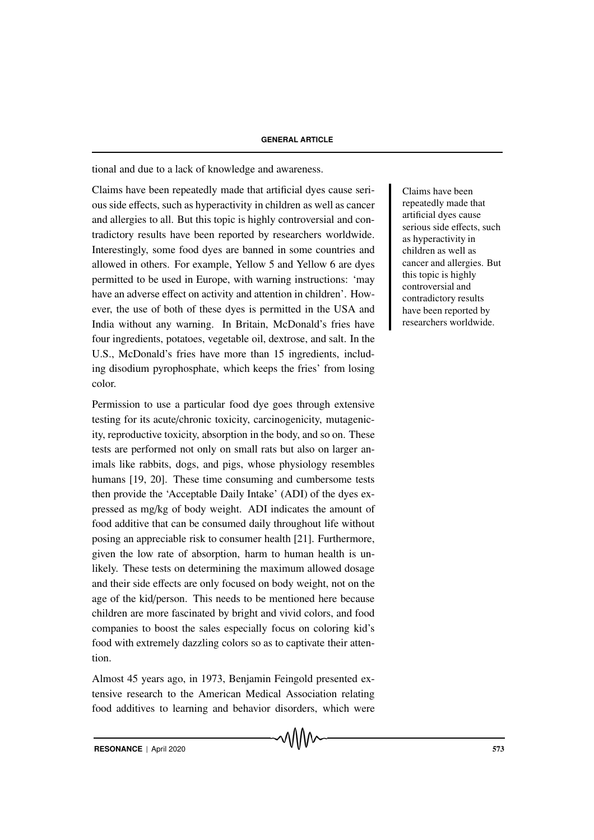tional and due to a lack of knowledge and awareness.

Claims have been repeatedly made that artificial dyes cause seri-<br>Claims have been ous side effects, such as hyperactivity in children as well as cancer and allergies to all. But this topic is highly controversial and contradictory results have been reported by researchers worldwide. Interestingly, some food dyes are banned in some countries and allowed in others. For example, Yellow 5 and Yellow 6 are dyes permitted to be used in Europe, with warning instructions: 'may have an adverse effect on activity and attention in children'. However, the use of both of these dyes is permitted in the USA and India without any warning. In Britain, McDonald's fries have four ingredients, potatoes, vegetable oil, dextrose, and salt. In the U.S., McDonald's fries have more than 15 ingredients, including disodium pyrophosphate, which keeps the fries' from losing color.

Permission to use a particular food dye goes through extensive testing for its acute/chronic toxicity, carcinogenicity, mutagenicity, reproductive toxicity, absorption in the body, and so on. These tests are performed not only on small rats but also on larger animals like rabbits, dogs, and pigs, whose physiology resembles humans [19, 20]. These time consuming and cumbersome tests then provide the 'Acceptable Daily Intake' (ADI) of the dyes expressed as mg/kg of body weight. ADI indicates the amount of food additive that can be consumed daily throughout life without posing an appreciable risk to consumer health [21]. Furthermore, given the low rate of absorption, harm to human health is unlikely. These tests on determining the maximum allowed dosage and their side effects are only focused on body weight, not on the age of the kid/person. This needs to be mentioned here because children are more fascinated by bright and vivid colors, and food companies to boost the sales especially focus on coloring kid's food with extremely dazzling colors so as to captivate their attention.

Almost 45 years ago, in 1973, Benjamin Feingold presented extensive research to the American Medical Association relating food additives to learning and behavior disorders, which were repeatedly made that artificial dyes cause serious side effects, such as hyperactivity in children as well as cancer and allergies. But this topic is highly controversial and contradictory results have been reported by researchers worldwide.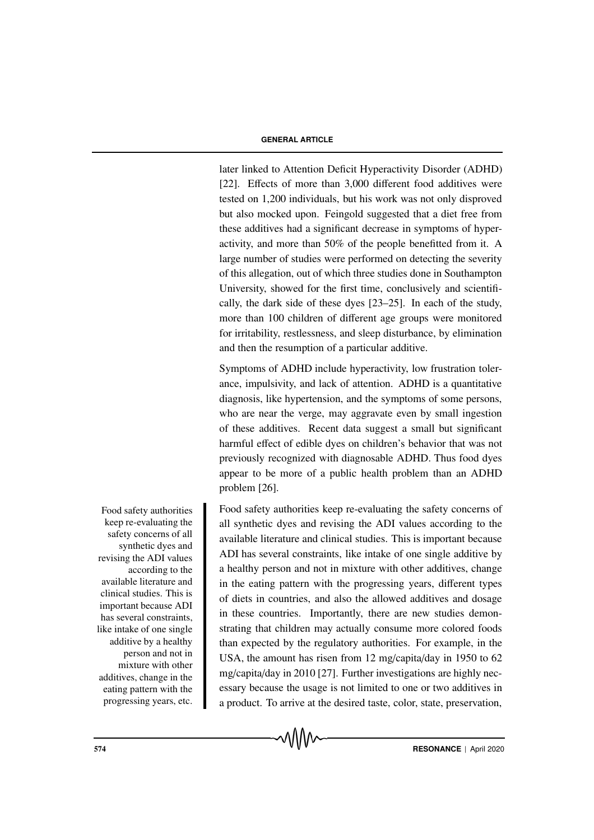later linked to Attention Deficit Hyperactivity Disorder (ADHD) [22]. Effects of more than 3,000 different food additives were tested on 1,200 individuals, but his work was not only disproved but also mocked upon. Feingold suggested that a diet free from these additives had a significant decrease in symptoms of hyperactivity, and more than 50% of the people benefitted from it. A large number of studies were performed on detecting the severity of this allegation, out of which three studies done in Southampton University, showed for the first time, conclusively and scientifically, the dark side of these dyes [23–25]. In each of the study, more than 100 children of different age groups were monitored for irritability, restlessness, and sleep disturbance, by elimination and then the resumption of a particular additive.

Symptoms of ADHD include hyperactivity, low frustration tolerance, impulsivity, and lack of attention. ADHD is a quantitative diagnosis, like hypertension, and the symptoms of some persons, who are near the verge, may aggravate even by small ingestion of these additives. Recent data suggest a small but significant harmful effect of edible dyes on children's behavior that was not previously recognized with diagnosable ADHD. Thus food dyes appear to be more of a public health problem than an ADHD problem [26].

Food safety authorities keep re-evaluating the safety concerns of all synthetic dyes and revising the ADI values according to the available literature and clinical studies. This is important because ADI has several constraints, like intake of one single additive by a healthy person and not in mixture with other additives, change in the eating pattern with the progressing years, different types of diets in countries, and also the allowed additives and dosage in these countries. Importantly, there are new studies demonstrating that children may actually consume more colored foods than expected by the regulatory authorities. For example, in the USA, the amount has risen from 12 mg/capita/day in 1950 to 62 mg/capita/day in 2010 [27]. Further investigations are highly necessary because the usage is not limited to one or two additives in a product. To arrive at the desired taste, color, state, preservation,

Food safety authorities keep re-evaluating the safety concerns of all synthetic dyes and revising the ADI values according to the available literature and clinical studies. This is important because ADI has several constraints, like intake of one single additive by a healthy person and not in mixture with other additives, change in the eating pattern with the progressing years, etc.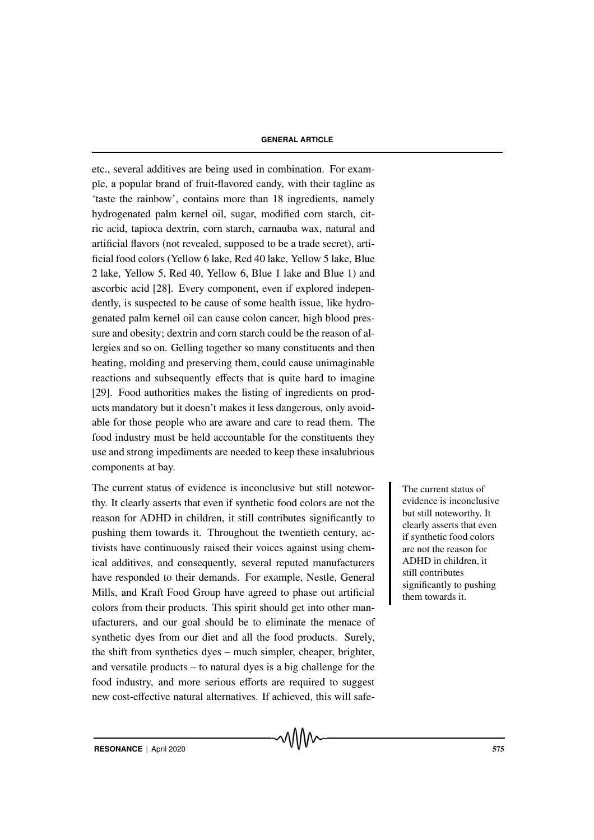etc., several additives are being used in combination. For example, a popular brand of fruit-flavored candy, with their tagline as 'taste the rainbow', contains more than 18 ingredients, namely hydrogenated palm kernel oil, sugar, modified corn starch, citric acid, tapioca dextrin, corn starch, carnauba wax, natural and artificial flavors (not revealed, supposed to be a trade secret), artificial food colors (Yellow 6 lake, Red 40 lake, Yellow 5 lake, Blue 2 lake, Yellow 5, Red 40, Yellow 6, Blue 1 lake and Blue 1) and ascorbic acid [28]. Every component, even if explored independently, is suspected to be cause of some health issue, like hydrogenated palm kernel oil can cause colon cancer, high blood pressure and obesity; dextrin and corn starch could be the reason of allergies and so on. Gelling together so many constituents and then heating, molding and preserving them, could cause unimaginable reactions and subsequently effects that is quite hard to imagine [29]. Food authorities makes the listing of ingredients on products mandatory but it doesn't makes it less dangerous, only avoidable for those people who are aware and care to read them. The food industry must be held accountable for the constituents they use and strong impediments are needed to keep these insalubrious components at bay.

The current status of evidence is inconclusive but still notewor-<br>The current status of thy. It clearly asserts that even if synthetic food colors are not the reason for ADHD in children, it still contributes significantly to pushing them towards it. Throughout the twentieth century, activists have continuously raised their voices against using chemical additives, and consequently, several reputed manufacturers have responded to their demands. For example, Nestle, General Mills, and Kraft Food Group have agreed to phase out artificial colors from their products. This spirit should get into other manufacturers, and our goal should be to eliminate the menace of synthetic dyes from our diet and all the food products. Surely, the shift from synthetics dyes – much simpler, cheaper, brighter, and versatile products – to natural dyes is a big challenge for the food industry, and more serious efforts are required to suggest new cost-effective natural alternatives. If achieved, this will safe-

evidence is inconclusive but still noteworthy. It clearly asserts that even if synthetic food colors are not the reason for ADHD in children, it still contributes significantly to pushing them towards it.

**RESONANCE** | April 2020 575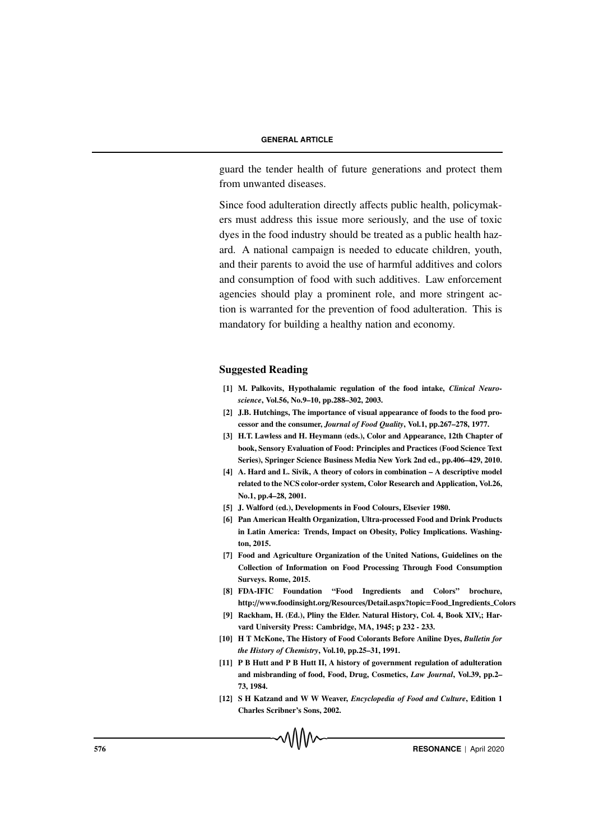guard the tender health of future generations and protect them from unwanted diseases.

Since food adulteration directly affects public health, policymakers must address this issue more seriously, and the use of toxic dyes in the food industry should be treated as a public health hazard. A national campaign is needed to educate children, youth, and their parents to avoid the use of harmful additives and colors and consumption of food with such additives. Law enforcement agencies should play a prominent role, and more stringent action is warranted for the prevention of food adulteration. This is mandatory for building a healthy nation and economy.

# Suggested Reading

- [1] M. Palkovits, Hypothalamic regulation of the food intake, *Clinical Neuroscience*, Vol.56, No.9–10, pp.288–302, 2003.
- [2] J.B. Hutchings, The importance of visual appearance of foods to the food processor and the consumer, *Journal of Food Quality*, Vol.1, pp.267–278, 1977.
- [3] H.T. Lawless and H. Heymann (eds.), Color and Appearance, 12th Chapter of book, Sensory Evaluation of Food: Principles and Practices (Food Science Text Series), Springer Science Business Media New York 2nd ed., pp.406–429, 2010.
- [4] A. Hard and L. Sivik, A theory of colors in combination A descriptive model related to the NCS color-order system, Color Research and Application, Vol.26, No.1, pp.4–28, 2001.
- [5] J. Walford (ed.), Developments in Food Colours, Elsevier 1980.
- [6] Pan American Health Organization, Ultra-processed Food and Drink Products in Latin America: Trends, Impact on Obesity, Policy Implications. Washington, 2015.
- [7] Food and Agriculture Organization of the United Nations, Guidelines on the Collection of Information on Food Processing Through Food Consumption Surveys. Rome, 2015.
- [8] FDA-IFIC Foundation "Food Ingredients and Colors" brochure, http://www.foodinsight.org/Resources/Detail.aspx?topic=Food Ingredients Colors
- [9] Rackham, H. (Ed.), Pliny the Elder. Natural History, Col. 4, Book XIV,; Harvard University Press: Cambridge, MA, 1945; p 232 - 233.
- [10] H T McKone, The History of Food Colorants Before Aniline Dyes, *Bulletin for the History of Chemistry*, Vol.10, pp.25–31, 1991.
- [11] P B Hutt and P B Hutt II, A history of government regulation of adulteration and misbranding of food, Food, Drug, Cosmetics, *Law Journal*, Vol.39, pp.2– 73, 1984.
- [12] S H Katzand and W W Weaver, *Encyclopedia of Food and Culture*, Edition 1 Charles Scribner's Sons, 2002.